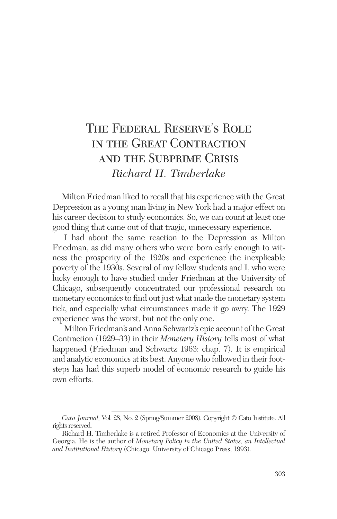# The Federal Reserve's Role in the Great Contraction and the Subprime Crisis *Richard H. Timberlake*

Milton Friedman liked to recall that his experience with the Great Depression as a young man living in New York had a major effect on his career decision to study economics. So, we can count at least one good thing that came out of that tragic, unnecessary experience.

I had about the same reaction to the Depression as Milton Friedman, as did many others who were born early enough to witness the prosperity of the 1920s and experience the inexplicable poverty of the 1930s. Several of my fellow students and I, who were lucky enough to have studied under Friedman at the University of Chicago, subsequently concentrated our professional research on monetary economics to find out just what made the monetary system tick, and especially what circumstances made it go awry. The 1929 experience was the worst, but not the only one.

Milton Friedman's and Anna Schwartz's epic account of the Great Contraction (1929–33) in their *Monetary History* tells most of what happened (Friedman and Schwartz 1963: chap. 7). It is empirical and analytic economics at its best. Anyone who followed in their footsteps has had this superb model of economic research to guide his own efforts.

*Cato Journal,* Vol. 28, No. 2 (Spring/Summer 2008). Copyright © Cato Institute. All rights reserved.

Richard H. Timberlake is a retired Professor of Economics at the University of Georgia. He is the author of *Monetary Policy in the United States, an Intellectual and Institutional History* (Chicago: University of Chicago Press, 1993).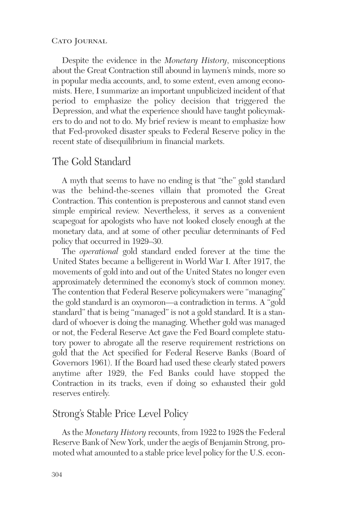Despite the evidence in the *Monetary History*, misconceptions about the Great Contraction still abound in laymen's minds, more so in popular media accounts, and, to some extent, even among economists. Here, I summarize an important unpublicized incident of that period to emphasize the policy decision that triggered the Depression, and what the experience should have taught policymakers to do and not to do. My brief review is meant to emphasize how that Fed-provoked disaster speaks to Federal Reserve policy in the recent state of disequilibrium in financial markets.

### The Gold Standard

A myth that seems to have no ending is that "the" gold standard was the behind-the-scenes villain that promoted the Great Contraction. This contention is preposterous and cannot stand even simple empirical review. Nevertheless, it serves as a convenient scapegoat for apologists who have not looked closely enough at the monetary data, and at some of other peculiar determinants of Fed policy that occurred in 1929–30.

The *operational* gold standard ended forever at the time the United States became a belligerent in World War I. After 1917, the movements of gold into and out of the United States no longer even approximately determined the economy's stock of common money. The contention that Federal Reserve policymakers were "managing" the gold standard is an oxymoron—a contradiction in terms. A "gold standard" that is being "managed" is not a gold standard. It is a standard of whoever is doing the managing. Whether gold was managed or not, the Federal Reserve Act gave the Fed Board complete statutory power to abrogate all the reserve requirement restrictions on gold that the Act specified for Federal Reserve Banks (Board of Governors 1961). If the Board had used these clearly stated powers anytime after 1929, the Fed Banks could have stopped the Contraction in its tracks, even if doing so exhausted their gold reserves entirely.

### Strong's Stable Price Level Policy

As the *Monetary History* recounts, from 1922 to 1928 the Federal Reserve Bank of New York, under the aegis of Benjamin Strong, promoted what amounted to a stable price level policy for the U.S. econ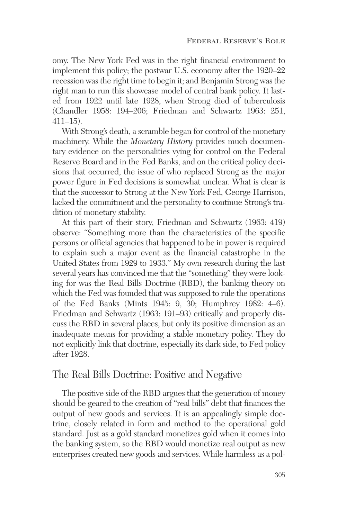omy. The New York Fed was in the right financial environment to implement this policy; the postwar U.S. economy after the 1920–22 recession was the right time to begin it; and Benjamin Strong was the right man to run this showcase model of central bank policy. It lasted from 1922 until late 1928, when Strong died of tuberculosis (Chandler 1958: 194–206; Friedman and Schwartz 1963: 251, 411–15).

With Strong's death, a scramble began for control of the monetary machinery. While the *Monetary History* provides much documentary evidence on the personalities vying for control on the Federal Reserve Board and in the Fed Banks, and on the critical policy decisions that occurred, the issue of who replaced Strong as the major power figure in Fed decisions is somewhat unclear. What is clear is that the successor to Strong at the New York Fed, George Harrison, lacked the commitment and the personality to continue Strong's tradition of monetary stability.

At this part of their story, Friedman and Schwartz (1963: 419) observe: "Something more than the characteristics of the specific persons or official agencies that happened to be in power is required to explain such a major event as the financial catastrophe in the United States from 1929 to 1933." My own research during the last several years has convinced me that the "something" they were looking for was the Real Bills Doctrine (RBD), the banking theory on which the Fed was founded that was supposed to rule the operations of the Fed Banks (Mints 1945: 9, 30; Humphrey 1982: 4–6). Friedman and Schwartz (1963: 191–93) critically and properly discuss the RBD in several places, but only its positive dimension as an inadequate means for providing a stable monetary policy. They do not explicitly link that doctrine, especially its dark side, to Fed policy after 1928.

# The Real Bills Doctrine: Positive and Negative

The positive side of the RBD argues that the generation of money should be geared to the creation of "real bills" debt that finances the output of new goods and services. It is an appealingly simple doctrine, closely related in form and method to the operational gold standard. Just as a gold standard monetizes gold when it comes into the banking system, so the RBD would monetize real output as new enterprises created new goods and services. While harmless as a pol-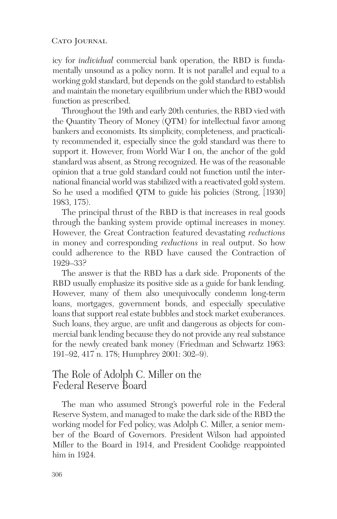icy for *individual* commercial bank operation, the RBD is fundamentally unsound as a policy norm. It is not parallel and equal to a working gold standard, but depends on the gold standard to establish and maintain the monetary equilibrium under which the RBD would function as prescribed.

Throughout the 19th and early 20th centuries, the RBD vied with the Quantity Theory of Money (QTM) for intellectual favor among bankers and economists. Its simplicity, completeness, and practicality recommended it, especially since the gold standard was there to support it. However, from World War I on, the anchor of the gold standard was absent, as Strong recognized. He was of the reasonable opinion that a true gold standard could not function until the international financial world was stabilized with a reactivated gold system. So he used a modified QTM to guide his policies (Strong, [1930] 1983, 175).

The principal thrust of the RBD is that increases in real goods through the banking system provide optimal increases in money. However, the Great Contraction featured devastating *reductions* in money and corresponding *reductions* in real output. So how could adherence to the RBD have caused the Contraction of 1929–33?

The answer is that the RBD has a dark side. Proponents of the RBD usually emphasize its positive side as a guide for bank lending. However, many of them also unequivocally condemn long-term loans, mortgages, government bonds, and especially speculative loans that support real estate bubbles and stock market exuberances. Such loans, they argue, are unfit and dangerous as objects for commercial bank lending because they do not provide any real substance for the newly created bank money (Friedman and Schwartz 1963: 191–92, 417 n. 178; Humphrey 2001: 302–9).

# The Role of Adolph C. Miller on the Federal Reserve Board

The man who assumed Strong's powerful role in the Federal Reserve System, and managed to make the dark side of the RBD the working model for Fed policy, was Adolph C. Miller, a senior member of the Board of Governors. President Wilson had appointed Miller to the Board in 1914, and President Coolidge reappointed him in 1924.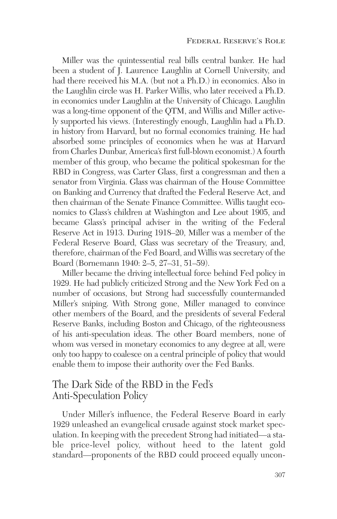Miller was the quintessential real bills central banker. He had been a student of J. Laurence Laughlin at Cornell University, and had there received his M.A. (but not a Ph.D.) in economics. Also in the Laughlin circle was H. Parker Willis, who later received a Ph.D. in economics under Laughlin at the University of Chicago. Laughlin was a long-time opponent of the QTM, and Willis and Miller actively supported his views. (Interestingly enough, Laughlin had a Ph.D. in history from Harvard, but no formal economics training. He had absorbed some principles of economics when he was at Harvard from Charles Dunbar, America's first full-blown economist.) A fourth member of this group, who became the political spokesman for the RBD in Congress, was Carter Glass, first a congressman and then a senator from Virginia. Glass was chairman of the House Committee on Banking and Currency that drafted the Federal Reserve Act, and then chairman of the Senate Finance Committee. Willis taught economics to Glass's children at Washington and Lee about 1905, and became Glass's principal adviser in the writing of the Federal Reserve Act in 1913. During 1918–20, Miller was a member of the Federal Reserve Board, Glass was secretary of the Treasury, and, therefore, chairman of the Fed Board, and Willis was secretary of the Board (Bornemann 1940: 2–5, 27–31, 51–59).

Miller became the driving intellectual force behind Fed policy in 1929. He had publicly criticized Strong and the New York Fed on a number of occasions, but Strong had successfully countermanded Miller's sniping. With Strong gone, Miller managed to convince other members of the Board, and the presidents of several Federal Reserve Banks, including Boston and Chicago, of the righteousness of his anti-speculation ideas. The other Board members, none of whom was versed in monetary economics to any degree at all, were only too happy to coalesce on a central principle of policy that would enable them to impose their authority over the Fed Banks.

# The Dark Side of the RBD in the Fed's Anti-Speculation Policy

Under Miller's influence, the Federal Reserve Board in early 1929 unleashed an evangelical crusade against stock market speculation. In keeping with the precedent Strong had initiated—a stable price-level policy, without heed to the latent gold standard—proponents of the RBD could proceed equally uncon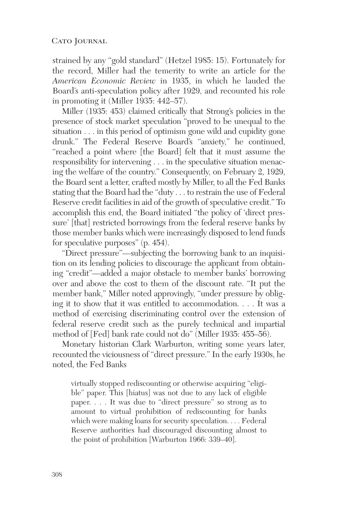strained by any "gold standard" (Hetzel 1985: 15). Fortunately for the record, Miller had the temerity to write an article for the *American Economic Review* in 1935, in which he lauded the Board's anti-speculation policy after 1929, and recounted his role in promoting it (Miller 1935: 442–57).

Miller (1935: 453) claimed critically that Strong's policies in the presence of stock market speculation "proved to be unequal to the situation . . . in this period of optimism gone wild and cupidity gone drunk." The Federal Reserve Board's "anxiety," he continued, "reached a point where [the Board] felt that it must assume the responsibility for intervening . . . in the speculative situation menacing the welfare of the country." Consequently, on February 2, 1929, the Board sent a letter, crafted mostly by Miller, to all the Fed Banks stating that the Board had the "duty . . . to restrain the use of Federal Reserve credit facilities in aid of the growth of speculative credit." To accomplish this end, the Board initiated "the policy of 'direct pressure' [that] restricted borrowings from the federal reserve banks by those member banks which were increasingly disposed to lend funds for speculative purposes" (p. 454).

"Direct pressure"—subjecting the borrowing bank to an inquisition on its lending policies to discourage the applicant from obtaining "credit"—added a major obstacle to member banks' borrowing over and above the cost to them of the discount rate. "It put the member bank," Miller noted approvingly, "under pressure by obliging it to show that it was entitled to accommodation. . . . It was a method of exercising discriminating control over the extension of federal reserve credit such as the purely technical and impartial method of [Fed] bank rate could not do" (Miller 1935: 455–56).

Monetary historian Clark Warburton, writing some years later, recounted the viciousness of "direct pressure." In the early 1930s, he noted, the Fed Banks

virtually stopped rediscounting or otherwise acquiring "eligible" paper. This [hiatus] was not due to any lack of eligible paper. . . . It was due to "direct pressure" so strong as to amount to virtual prohibition of rediscounting for banks which were making loans for security speculation. . . . Federal Reserve authorities had discouraged discounting almost to the point of prohibition [Warburton 1966: 339–40].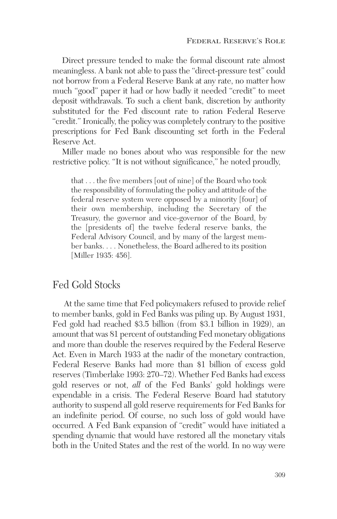Direct pressure tended to make the formal discount rate almost meaningless. A bank not able to pass the "direct-pressure test" could not borrow from a Federal Reserve Bank at any rate, no matter how much "good" paper it had or how badly it needed "credit" to meet deposit withdrawals. To such a client bank, discretion by authority substituted for the Fed discount rate to ration Federal Reserve "credit." Ironically, the policy was completely contrary to the positive prescriptions for Fed Bank discounting set forth in the Federal Reserve Act.

Miller made no bones about who was responsible for the new restrictive policy. "It is not without significance," he noted proudly,

that . . . the five members [out of nine] of the Board who took the responsibility of formulating the policy and attitude of the federal reserve system were opposed by a minority [four] of their own membership, including the Secretary of the Treasury, the governor and vice-governor of the Board, by the [presidents of] the twelve federal reserve banks, the Federal Advisory Council, and by many of the largest member banks. . . . Nonetheless, the Board adhered to its position [Miller 1935: 456].

## Fed Gold Stocks

At the same time that Fed policymakers refused to provide relief to member banks, gold in Fed Banks was piling up. By August 1931, Fed gold had reached \$3.5 billion (from \$3.1 billion in 1929), an amount that was 81 percent of outstanding Fed monetary obligations and more than double the reserves required by the Federal Reserve Act. Even in March 1933 at the nadir of the monetary contraction, Federal Reserve Banks had more than \$1 billion of excess gold reserves (Timberlake 1993: 270–72). Whether Fed Banks had excess gold reserves or not, *all* of the Fed Banks' gold holdings were expendable in a crisis. The Federal Reserve Board had statutory authority to suspend all gold reserve requirements for Fed Banks for an indefinite period. Of course, no such loss of gold would have occurred. A Fed Bank expansion of "credit" would have initiated a spending dynamic that would have restored all the monetary vitals both in the United States and the rest of the world. In no way were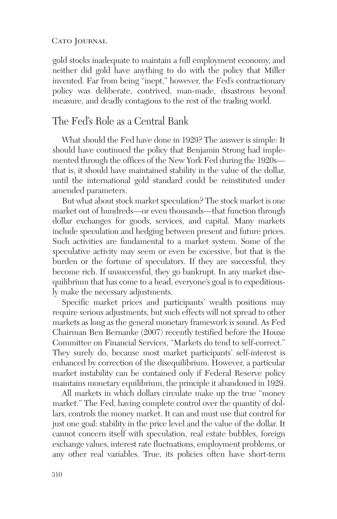gold stocks inadequate to maintain a full employment economy, and neither did gold have anything to do with the policy that Miller invented. Far from being "inept," however, the Fed's contractionary policy was deliberate, contrived, man-made, disastrous beyond measure, and deadly contagious to the rest of the trading world.

### The Fed's Role as a Central Bank

What should the Fed have done in 1929? The answer is simple: It should have continued the policy that Benjamin Strong had implemented through the offices of the New York Fed during the 1920s that is, it should have maintained stability in the value of the dollar, until the international gold standard could be reinstituted under amended parameters.

But what about stock market speculation? The stock market is one market out of hundreds—or even thousands—that function through dollar exchanges for goods, services, and capital. Many markets include speculation and hedging between present and future prices. Such activities are fundamental to a market system. Some of the speculative activity may seem or even be excessive, but that is the burden or the fortune of speculators. If they are successful, they become rich. If unsuccessful, they go bankrupt. In any market disequilibrium that has come to a head, everyone's goal is to expeditiously make the necessary adjustments.

Specific market prices and participants' wealth positions may require serious adjustments, but such effects will not spread to other markets as long as the general monetary framework is sound. As Fed Chairman Ben Bernanke (2007) recently testified before the House Committee on Financial Services, "Markets do tend to self-correct." They surely do, because most market participants' self-interest is enhanced by correction of the disequilibrium. However, a particular market instability can be contained only if Federal Reserve policy maintains monetary equilibrium, the principle it abandoned in 1929.

All markets in which dollars circulate make up the true "money market." The Fed, having complete control over the quantity of dollars, controls the money market. It can and must use that control for just one goal: stability in the price level and the value of the dollar. It cannot concern itself with speculation, real estate bubbles, foreign exchange values, interest rate fluctuations, employment problems, or any other real variables. True, its policies often have short-term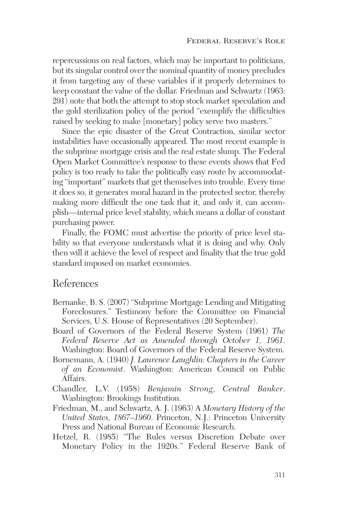repercussions on real factors, which may be important to politicians, but its singular control over the nominal quantity of money precludes it from targeting any of these variables if it properly determines to keep constant the value of the dollar. Friedman and Schwartz (1963: 291) note that both the attempt to stop stock market speculation and the gold sterilization policy of the period "exemplify the difficulties raised by seeking to make [monetary] policy serve two masters."

Since the epic disaster of the Great Contraction, similar sector instabilities have occasionally appeared. The most recent example is the subprime mortgage crisis and the real estate slump. The Federal Open Market Committee's response to these events shows that Fed policy is too ready to take the politically easy route by accommodating "important" markets that get themselves into trouble. Every time it does so, it generates moral hazard in the protected sector, thereby making more difficult the one task that it, and only it, can accomplish—internal price level stability, which means a dollar of constant purchasing power.

Finally, the FOMC must advertise the priority of price level stability so that everyone understands what it is doing and why. Only then will it achieve the level of respect and finality that the true gold standard imposed on market economies.

### References

- Bernanke, B. S. (2007) "Subprime Mortgage Lending and Mitigating Foreclosures." Testimony before the Committee on Financial Services, U.S. House of Representatives (20 September).
- Board of Governors of the Federal Reserve System (1961) *The Federal Reserve Act as Amended through October 1, 1961*. Washington: Board of Governors of the Federal Reserve System.
- Bornemann, A. (1940) *J. Laurence Laughlin: Chapters in the Career of an Economist*. Washington: American Council on Public Affairs.
- Chandler, L.V. (1958) *Benjamin Strong*, *Central Banker*. Washington: Brookings Institution.
- Friedman, M., and Schwartz, A. J. (1963) A *Monetary History of the United States, 1867–1960*. Princeton, N.J.: Princeton University Press and National Bureau of Economic Research.
- Hetzel, R. (1985) "The Rules versus Discretion Debate over Monetary Policy in the 1920s." Federal Reserve Bank of